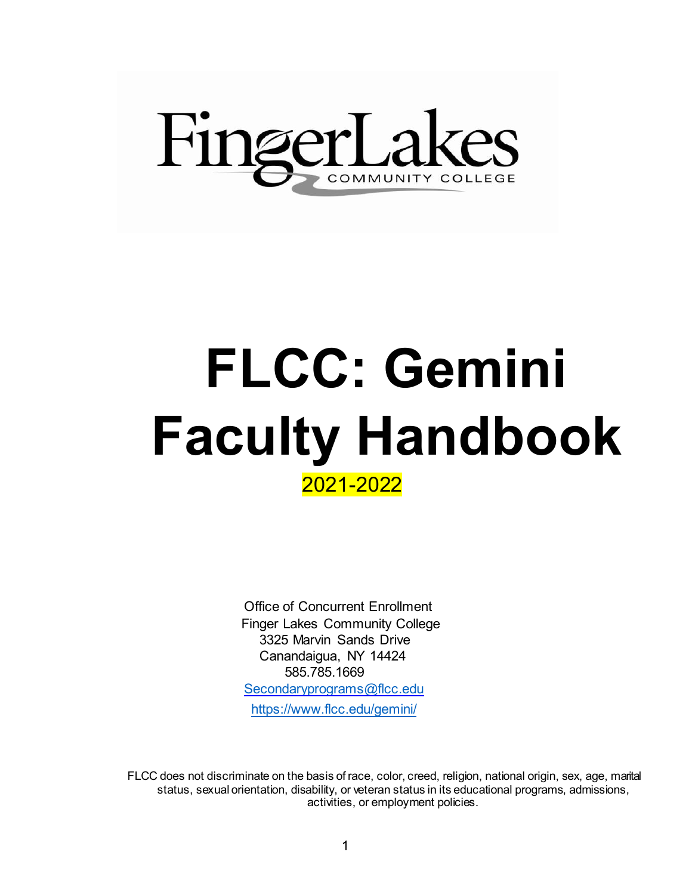

# **FLCC: Gemini Faculty Handbook**2021-2022

Office of Concurrent Enrollment Finger Lakes Community College 3325 Marvin Sands Drive Canandaigua, NY 14424 585.785.1669 [Secondaryprograms@flcc.edu](mailto:Secondaryprograms@flcc.edu) <https://www.flcc.edu/gemini/>

FLCC does not discriminate on the basis of race, color, creed, religion, national origin, sex, age, marital status, sexual orientation, disability, or veteran status in its educational programs, admissions, activities, or employment policies.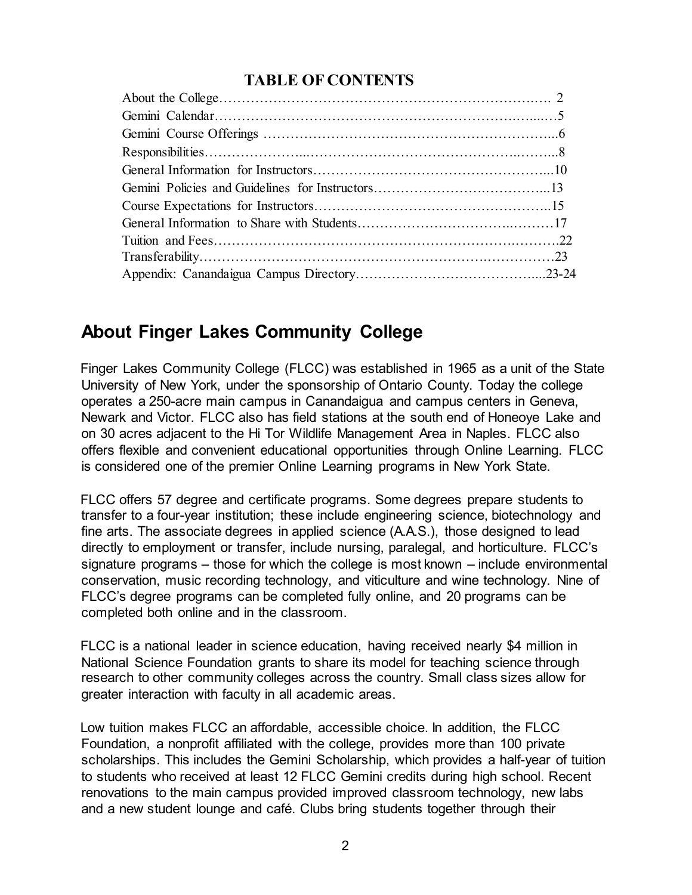#### **TABLE OF CONTENTS**

# **About Finger Lakes Community College**

Finger Lakes Community College (FLCC) was established in 1965 as a unit of the State University of New York, under the sponsorship of Ontario County. Today the college operates a 250-acre main campus in Canandaigua and campus centers in Geneva, Newark and Victor. FLCC also has field stations at the south end of Honeoye Lake and on 30 acres adjacent to the Hi Tor Wildlife Management Area in Naples. FLCC also offers flexible and convenient educational opportunities through Online Learning. FLCC is considered one of the premier Online Learning programs in New York State.

FLCC offers 57 degree and certificate programs. Some degrees prepare students to transfer to a four-year institution; these include engineering science, biotechnology and fine arts. The associate degrees in applied science (A.A.S.), those designed to lead directly to employment or transfer, include nursing, paralegal, and horticulture. FLCC's signature programs – those for which the college is most known – include environmental conservation, music recording technology, and viticulture and wine technology. Nine of FLCC's degree programs can be completed fully online, and 20 programs can be completed both online and in the classroom.

FLCC is a national leader in science education, having received nearly \$4 million in National Science Foundation grants to share its model for teaching science through research to other community colleges across the country. Small class sizes allow for greater interaction with faculty in all academic areas.

Low tuition makes FLCC an affordable, accessible choice. In addition, the FLCC Foundation, a nonprofit affiliated with the college, provides more than 100 private scholarships. This includes the Gemini Scholarship, which provides a half-year of tuition to students who received at least 12 FLCC Gemini credits during high school. Recent renovations to the main campus provided improved classroom technology, new labs and a new student lounge and café. Clubs bring students together through their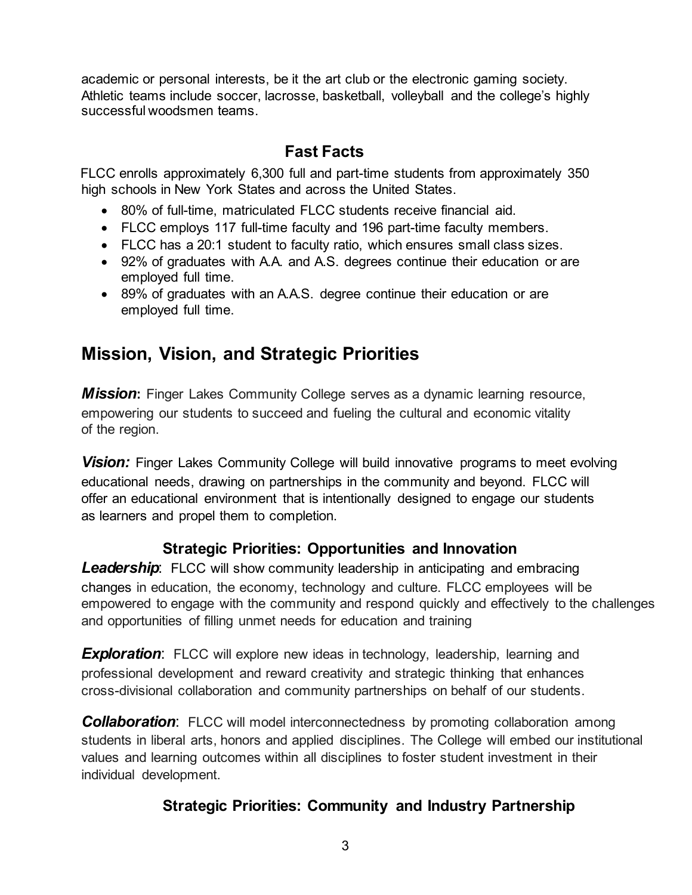academic or personal interests, be it the art club or the electronic gaming society. Athletic teams include soccer, lacrosse, basketball, volleyball and the college's highly successful woodsmen teams.

#### **Fast Facts**

FLCC enrolls approximately 6,300 full and part-time students from approximately 350 high schools in New York States and across the United States.

- 80% of full-time, matriculated FLCC students receive financial aid.
- FLCC employs 117 full-time faculty and 196 part-time faculty members.
- FLCC has a 20:1 student to faculty ratio, which ensures small class sizes.
- 92% of graduates with A.A. and A.S. degrees continue their education or are employed full time.
- 89% of graduates with an A.A.S. degree continue their education or are employed full time.

# **Mission, Vision, and Strategic Priorities**

*Mission***:** Finger Lakes Community College serves as a dynamic learning resource, empowering our students to succeed and fueling the cultural and economic vitality of the region.

*Vision:* Finger Lakes Community College will build innovative programs to meet evolving educational needs, drawing on partnerships in the community and beyond. FLCC will offer an educational environment that is intentionally designed to engage our students as learners and propel them to completion.

#### **Strategic Priorities: Opportunities and Innovation**

**Leadership**: FLCC will show community leadership in anticipating and embracing changes in education, the economy, technology and culture. FLCC employees will be empowered to engage with the community and respond quickly and effectively to the challenges and opportunities of filling unmet needs for education and training

**Exploration**: FLCC will explore new ideas in technology, leadership, learning and professional development and reward creativity and strategic thinking that enhances cross-divisional collaboration and community partnerships on behalf of our students.

**Collaboration**: FLCC will model interconnectedness by promoting collaboration among students in liberal arts, honors and applied disciplines. The College will embed our institutional values and learning outcomes within all disciplines to foster student investment in their individual development.

#### **Strategic Priorities: Community and Industry Partnership**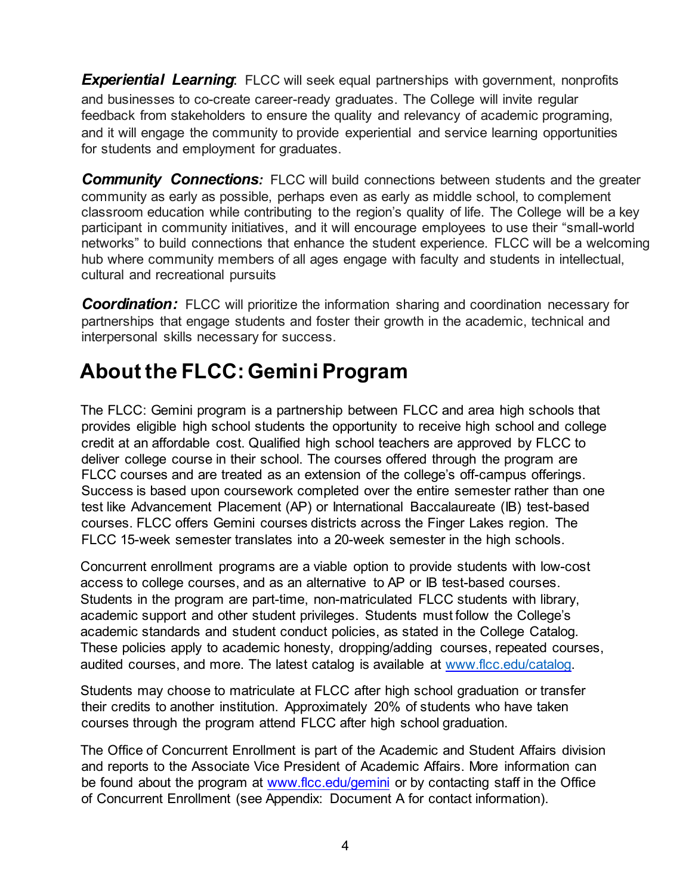**Experiential Learning**: FLCC will seek equal partnerships with government, nonprofits and businesses to co-create career-ready graduates. The College will invite regular feedback from stakeholders to ensure the quality and relevancy of academic programing, and it will engage the community to provide experiential and service learning opportunities for students and employment for graduates.

**Community Connections:** FLCC will build connections between students and the greater community as early as possible, perhaps even as early as middle school, to complement classroom education while contributing to the region's quality of life. The College will be a key participant in community initiatives, and it will encourage employees to use their "small-world networks" to build connections that enhance the student experience. FLCC will be a welcoming hub where community members of all ages engage with faculty and students in intellectual, cultural and recreational pursuits

**Coordination:** FLCC will prioritize the information sharing and coordination necessary for partnerships that engage students and foster their growth in the academic, technical and interpersonal skills necessary for success.

# **About the FLCC:Gemini Program**

The FLCC: Gemini program is a partnership between FLCC and area high schools that provides eligible high school students the opportunity to receive high school and college credit at an affordable cost. Qualified high school teachers are approved by FLCC to deliver college course in their school. The courses offered through the program are FLCC courses and are treated as an extension of the college's off-campus offerings. Success is based upon coursework completed over the entire semester rather than one test like Advancement Placement (AP) or International Baccalaureate (IB) test-based courses. FLCC offers Gemini courses districts across the Finger Lakes region. The FLCC 15-week semester translates into a 20-week semester in the high schools.

Concurrent enrollment programs are a viable option to provide students with low-cost access to college courses, and as an alternative to AP or IB test-based courses. Students in the program are part-time, non-matriculated FLCC students with library, academic support and other student privileges. Students must follow the College's academic standards and student conduct policies, as stated in the College Catalog. These policies apply to academic honesty, dropping/adding courses, repeated courses, audited courses, and more. The latest catalog is available at [www.flcc.edu/catalog.](http://www.flcc.edu/catalog) 

Students may choose to matriculate at FLCC after high school graduation or transfer their credits to another institution. Approximately 20% of students who have taken courses through the program attend FLCC after high school graduation.

The Office of Concurrent Enrollment is part of the Academic and Student Affairs division and reports to the Associate Vice President of Academic Affairs. More information can be found about the program at [www.flcc.edu/gemini](http://www.flcc.edu/gemini) [o](http://www.flcc.edu/gemini)r by contacting staff in the Office of Concurrent Enrollment (see Appendix: Document A for contact information).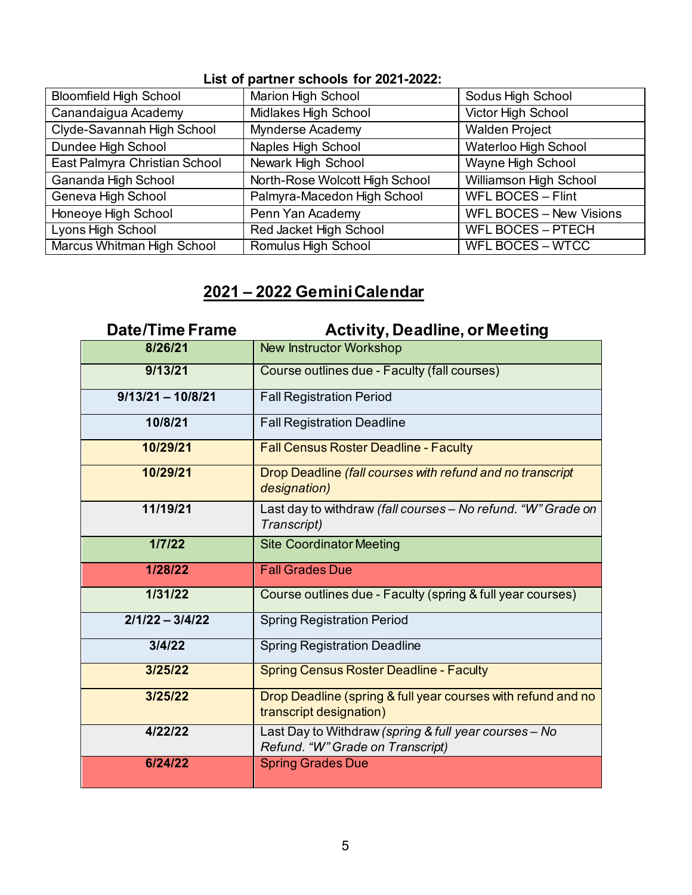#### **List of partner schools for 2021-2022:**

| <b>Bloomfield High School</b> | <b>Marion High School</b>      | Sodus High School        |
|-------------------------------|--------------------------------|--------------------------|
| Canandaigua Academy           | Midlakes High School           | Victor High School       |
| Clyde-Savannah High School    | <b>Mynderse Academy</b>        | <b>Walden Project</b>    |
| Dundee High School            | Naples High School             | Waterloo High School     |
| East Palmyra Christian School | Newark High School             | Wayne High School        |
| Gananda High School           | North-Rose Wolcott High School | Williamson High School   |
| Geneva High School            | Palmyra-Macedon High School    | <b>WFL BOCES - Flint</b> |
| Honeoye High School           | Penn Yan Academy               | WFL BOCES - New Visions  |
| Lyons High School             | Red Jacket High School         | <b>WFL BOCES - PTECH</b> |
| Marcus Whitman High School    | Romulus High School            | <b>WFL BOCES – WTCC</b>  |

## **2021 – 2022 Gemini Calendar**

| <b>Date/Time Frame</b> | <b>Activity, Deadline, or Meeting</b>                                                     |
|------------------------|-------------------------------------------------------------------------------------------|
| 8/26/21                | <b>New Instructor Workshop</b>                                                            |
| 9/13/21                | Course outlines due - Faculty (fall courses)                                              |
| $9/13/21 - 10/8/21$    | <b>Fall Registration Period</b>                                                           |
| 10/8/21                | <b>Fall Registration Deadline</b>                                                         |
| 10/29/21               | <b>Fall Census Roster Deadline - Faculty</b>                                              |
| 10/29/21               | Drop Deadline (fall courses with refund and no transcript<br>designation)                 |
| 11/19/21               | Last day to withdraw (fall courses - No refund. "W" Grade on<br>Transcript)               |
| 1/7/22                 | <b>Site Coordinator Meeting</b>                                                           |
| 1/28/22                | <b>Fall Grades Due</b>                                                                    |
| 1/31/22                | Course outlines due - Faculty (spring & full year courses)                                |
| $2/1/22 - 3/4/22$      | <b>Spring Registration Period</b>                                                         |
| 3/4/22                 | <b>Spring Registration Deadline</b>                                                       |
| 3/25/22                | <b>Spring Census Roster Deadline - Faculty</b>                                            |
| 3/25/22                | Drop Deadline (spring & full year courses with refund and no<br>transcript designation)   |
| 4/22/22                | Last Day to Withdraw (spring & full year courses - No<br>Refund. "W" Grade on Transcript) |
| 6/24/22                | <b>Spring Grades Due</b>                                                                  |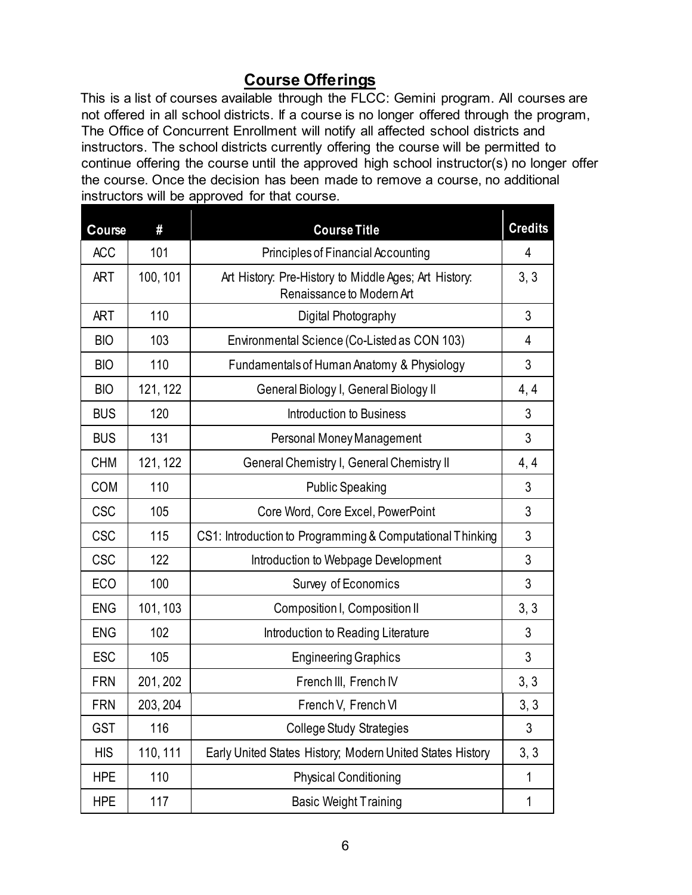## **Course Offerings**

This is a list of courses available through the FLCC: Gemini program. All courses are not offered in all school districts. If a course is no longer offered through the program, The Office of Concurrent Enrollment will notify all affected school districts and instructors. The school districts currently offering the course will be permitted to continue offering the course until the approved high school instructor(s) no longer offer the course. Once the decision has been made to remove a course, no additional instructors will be approved for that course.

| Course     | #        | <b>Course Title</b>                                                                | <b>Credits</b> |
|------------|----------|------------------------------------------------------------------------------------|----------------|
| <b>ACC</b> | 101      | Principles of Financial Accounting                                                 |                |
| <b>ART</b> | 100, 101 | Art History: Pre-History to Middle Ages; Art History:<br>Renaissance to Modern Art | 3, 3           |
| <b>ART</b> | 110      | Digital Photography                                                                | 3              |
| <b>BIO</b> | 103      | Environmental Science (Co-Listed as CON 103)                                       | 4              |
| <b>BIO</b> | 110      | Fundamentals of Human Anatomy & Physiology                                         | 3              |
| <b>BIO</b> | 121, 122 | General Biology I, General Biology II                                              | 4, 4           |
| <b>BUS</b> | 120      | Introduction to Business                                                           | 3              |
| <b>BUS</b> | 131      | Personal Money Management                                                          | 3              |
| <b>CHM</b> | 121, 122 | General Chemistry I, General Chemistry II                                          | 4, 4           |
| <b>COM</b> | 110      | <b>Public Speaking</b>                                                             | 3              |
| <b>CSC</b> | 105      | Core Word, Core Excel, PowerPoint                                                  |                |
| <b>CSC</b> | 115      | CS1: Introduction to Programming & Computational Thinking                          |                |
| <b>CSC</b> | 122      | Introduction to Webpage Development                                                |                |
| <b>ECO</b> | 100      | Survey of Economics                                                                | 3              |
| <b>ENG</b> | 101, 103 | Composition I, Composition II                                                      | 3, 3           |
| <b>ENG</b> | 102      | Introduction to Reading Literature                                                 | 3              |
| <b>ESC</b> | 105      | <b>Engineering Graphics</b>                                                        | 3              |
| <b>FRN</b> | 201, 202 | French III, French IV                                                              | 3, 3           |
| <b>FRN</b> | 203, 204 | French V, French VI                                                                | 3, 3           |
| <b>GST</b> | 116      | <b>College Study Strategies</b>                                                    | 3              |
| <b>HIS</b> | 110, 111 | Early United States History; Modern United States History                          | 3, 3           |
| <b>HPE</b> | 110      | <b>Physical Conditioning</b>                                                       | 1              |
| <b>HPE</b> | 117      | <b>Basic Weight Training</b>                                                       | 1              |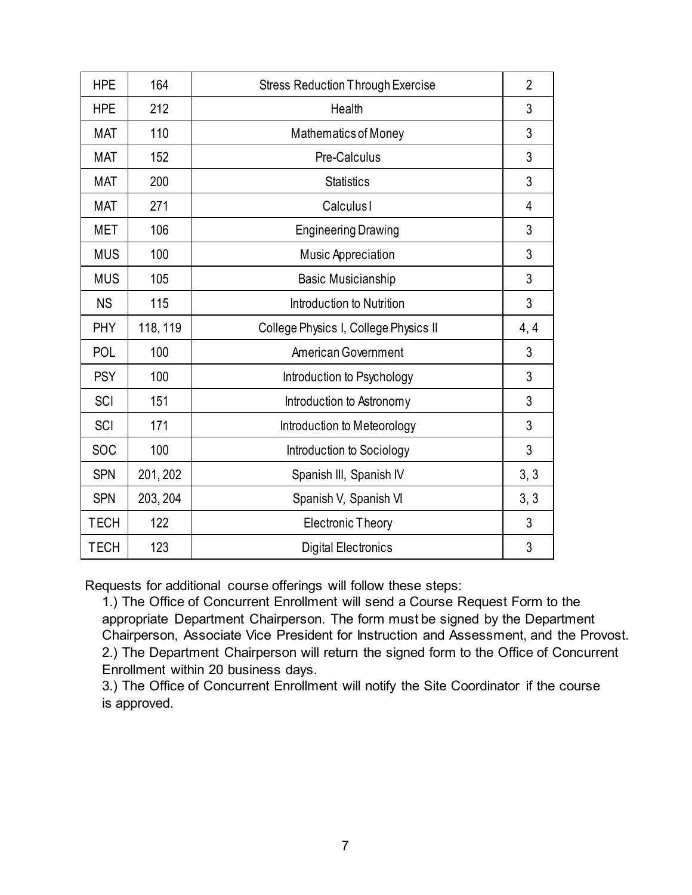| <b>HPE</b>  | 164      | <b>Stress Reduction Through Exercise</b> | $\overline{2}$ |
|-------------|----------|------------------------------------------|----------------|
| <b>HPE</b>  | 212      | Health                                   | 3              |
| <b>MAT</b>  | 110      | Mathematics of Money                     | 3              |
| <b>MAT</b>  | 152      | Pre-Calculus                             | 3              |
| <b>MAT</b>  | 200      | <b>Statistics</b>                        | 3              |
| <b>MAT</b>  | 271      | <b>Calculus</b> I                        | 4              |
| <b>MET</b>  | 106      | <b>Engineering Drawing</b>               | 3              |
| <b>MUS</b>  | 100      | Music Appreciation                       | 3              |
| <b>MUS</b>  | 105      | <b>Basic Musicianship</b>                | 3              |
| <b>NS</b>   | 115      | Introduction to Nutrition                | 3              |
| <b>PHY</b>  | 118, 119 | College Physics I, College Physics II    | 4, 4           |
| <b>POL</b>  | 100      | American Government                      | 3              |
| <b>PSY</b>  | 100      | Introduction to Psychology               | 3              |
| SCI         | 151      | Introduction to Astronomy                | 3              |
| SCI         | 171      | Introduction to Meteorology              | 3              |
| <b>SOC</b>  | 100      | Introduction to Sociology                | 3              |
| <b>SPN</b>  | 201, 202 | Spanish III, Spanish IV                  | 3, 3           |
| <b>SPN</b>  | 203, 204 | Spanish V, Spanish VI                    | 3, 3           |
| <b>TECH</b> | 122      | <b>Electronic Theory</b>                 | 3              |
| <b>TECH</b> | 123      | <b>Digital Electronics</b>               | 3              |

Requests for additional course offerings will follow these steps:

1.) The Office of Concurrent Enrollment will send a Course Request Form to the appropriate Department Chairperson. The form must be signed by the Department Chairperson, Associate Vice President for Instruction and Assessment, and the Provost. 2.) The Department Chairperson will return the signed form to the Office of Concurrent Enrollment within 20 business days.

3.) The Office of Concurrent Enrollment will notify the Site Coordinator if the course is approved.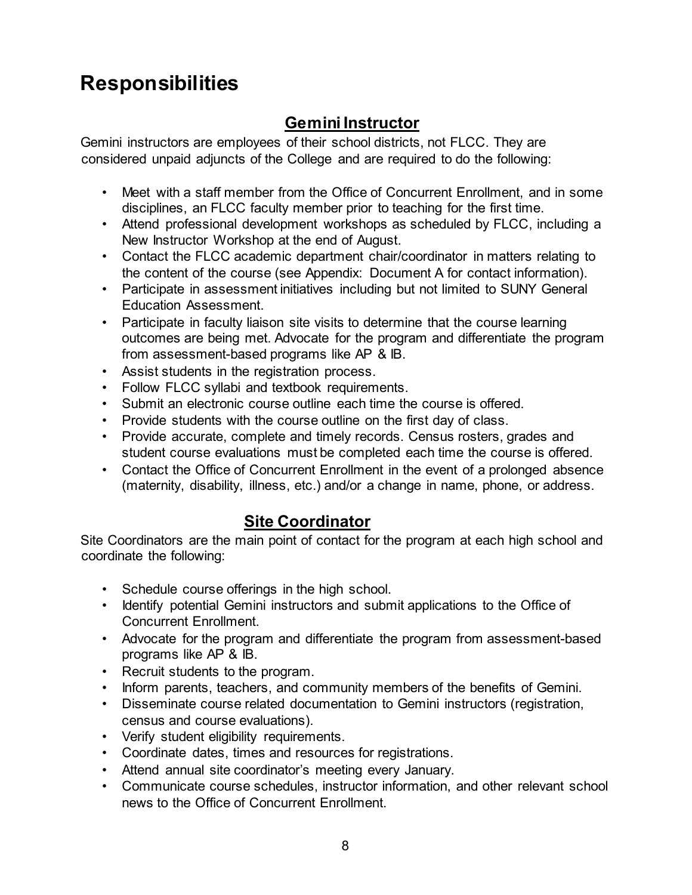# **Responsibilities**

## **Gemini Instructor**

Gemini instructors are employees of their school districts, not FLCC. They are considered unpaid adjuncts of the College and are required to do the following:

- Meet with a staff member from the Office of Concurrent Enrollment, and in some disciplines, an FLCC faculty member prior to teaching for the first time.
- Attend professional development workshops as scheduled by FLCC, including a New Instructor Workshop at the end of August.
- Contact the FLCC academic department chair/coordinator in matters relating to the content of the course (see Appendix: Document A for contact information).
- Participate in assessment initiatives including but not limited to SUNY General Education Assessment.
- Participate in faculty liaison site visits to determine that the course learning outcomes are being met. Advocate for the program and differentiate the program from assessment-based programs like AP & IB.
- Assist students in the registration process.
- Follow FLCC syllabi and textbook requirements.
- Submit an electronic course outline each time the course is offered.
- Provide students with the course outline on the first day of class.
- Provide accurate, complete and timely records. Census rosters, grades and student course evaluations must be completed each time the course is offered.
- Contact the Office of Concurrent Enrollment in the event of a prolonged absence (maternity, disability, illness, etc.) and/or a change in name, phone, or address.

#### **Site Coordinator**

Site Coordinators are the main point of contact for the program at each high school and coordinate the following:

- Schedule course offerings in the high school.
- Identify potential Gemini instructors and submit applications to the Office of Concurrent Enrollment.
- Advocate for the program and differentiate the program from assessment-based programs like AP & IB.
- Recruit students to the program.
- Inform parents, teachers, and community members of the benefits of Gemini.
- Disseminate course related documentation to Gemini instructors (registration, census and course evaluations).
- Verify student eligibility requirements.
- Coordinate dates, times and resources for registrations.
- Attend annual site coordinator's meeting every January.
- Communicate course schedules, instructor information, and other relevant school news to the Office of Concurrent Enrollment.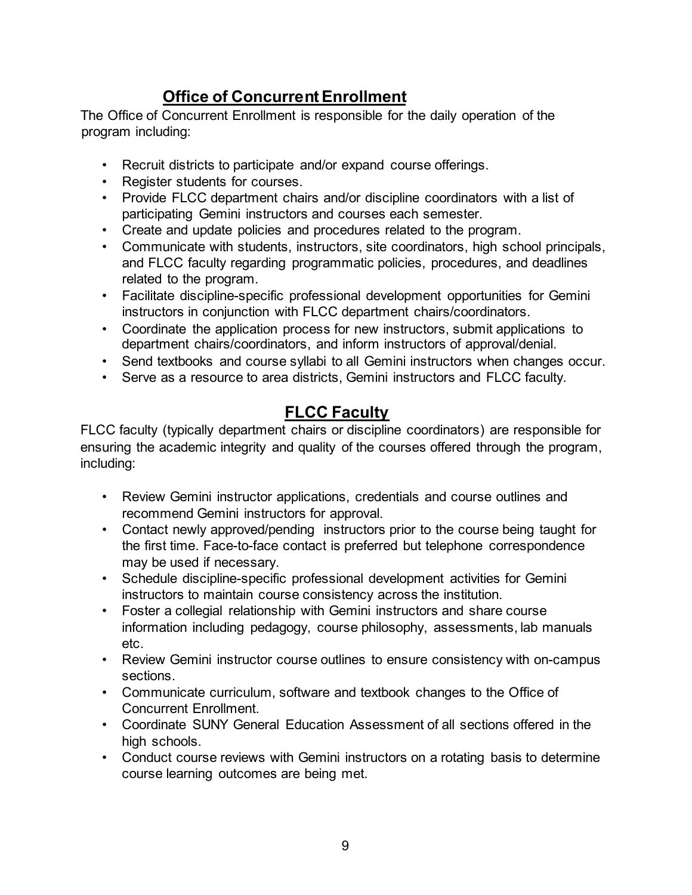## **Office of Concurrent Enrollment**

The Office of Concurrent Enrollment is responsible for the daily operation of the program including:

- Recruit districts to participate and/or expand course offerings.
- Register students for courses.
- Provide FLCC department chairs and/or discipline coordinators with a list of participating Gemini instructors and courses each semester.
- Create and update policies and procedures related to the program.
- Communicate with students, instructors, site coordinators, high school principals, and FLCC faculty regarding programmatic policies, procedures, and deadlines related to the program.
- Facilitate discipline-specific professional development opportunities for Gemini instructors in conjunction with FLCC department chairs/coordinators.
- Coordinate the application process for new instructors, submit applications to department chairs/coordinators, and inform instructors of approval/denial.
- Send textbooks and course syllabi to all Gemini instructors when changes occur.
- Serve as a resource to area districts, Gemini instructors and FLCC faculty.

## **FLCC Faculty**

FLCC faculty (typically department chairs or discipline coordinators) are responsible for ensuring the academic integrity and quality of the courses offered through the program, including:

- Review Gemini instructor applications, credentials and course outlines and recommend Gemini instructors for approval.
- Contact newly approved/pending instructors prior to the course being taught for the first time. Face-to-face contact is preferred but telephone correspondence may be used if necessary.
- Schedule discipline-specific professional development activities for Gemini instructors to maintain course consistency across the institution.
- Foster a collegial relationship with Gemini instructors and share course information including pedagogy, course philosophy, assessments, lab manuals etc.
- Review Gemini instructor course outlines to ensure consistency with on-campus sections.
- Communicate curriculum, software and textbook changes to the Office of Concurrent Enrollment.
- Coordinate SUNY General Education Assessment of all sections offered in the high schools.
- Conduct course reviews with Gemini instructors on a rotating basis to determine course learning outcomes are being met.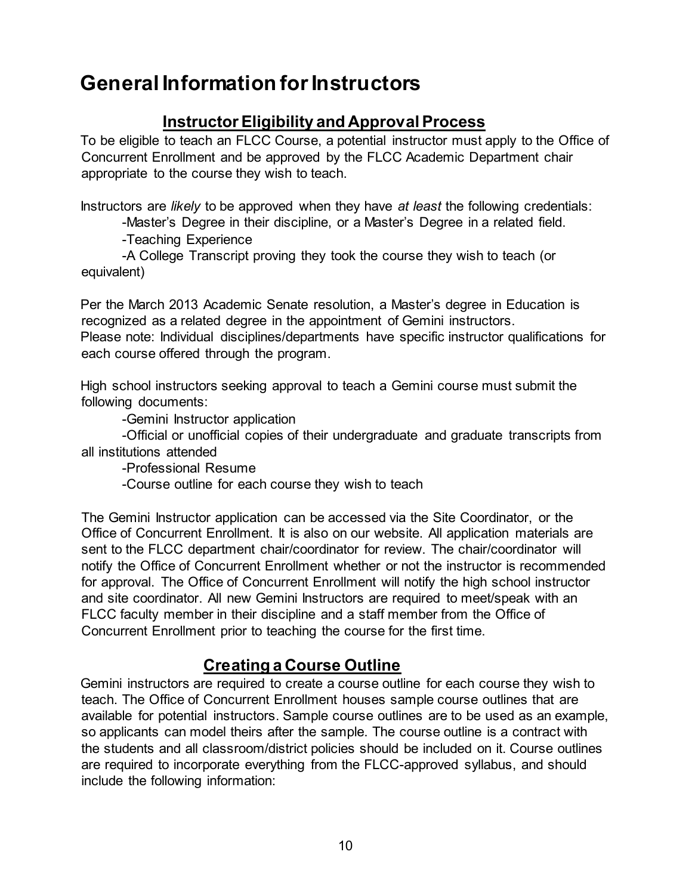# **General Information for Instructors**

#### **Instructor Eligibility and Approval Process**

To be eligible to teach an FLCC Course, a potential instructor must apply to the Office of Concurrent Enrollment and be approved by the FLCC Academic Department chair appropriate to the course they wish to teach.

Instructors are *likely* to be approved when they have *at least* the following credentials:

-Master's Degree in their discipline, or a Master's Degree in a related field.

-Teaching Experience

-A College Transcript proving they took the course they wish to teach (or equivalent)

Per the March 2013 Academic Senate resolution, a Master's degree in Education is recognized as a related degree in the appointment of Gemini instructors. Please note: Individual disciplines/departments have specific instructor qualifications for each course offered through the program.

High school instructors seeking approval to teach a Gemini course must submit the following documents:

-Gemini Instructor application

-Official or unofficial copies of their undergraduate and graduate transcripts from all institutions attended

-Professional Resume

-Course outline for each course they wish to teach

The Gemini Instructor application can be accessed via the Site Coordinator, or the Office of Concurrent Enrollment. It is also on our website. All application materials are sent to the FLCC department chair/coordinator for review. The chair/coordinator will notify the Office of Concurrent Enrollment whether or not the instructor is recommended for approval. The Office of Concurrent Enrollment will notify the high school instructor and site coordinator. All new Gemini Instructors are required to meet/speak with an FLCC faculty member in their discipline and a staff member from the Office of Concurrent Enrollment prior to teaching the course for the first time.

#### **Creating a Course Outline**

Gemini instructors are required to create a course outline for each course they wish to teach. The Office of Concurrent Enrollment houses sample course outlines that are available for potential instructors. Sample course outlines are to be used as an example, so applicants can model theirs after the sample. The course outline is a contract with the students and all classroom/district policies should be included on it. Course outlines are required to incorporate everything from the FLCC-approved syllabus, and should include the following information: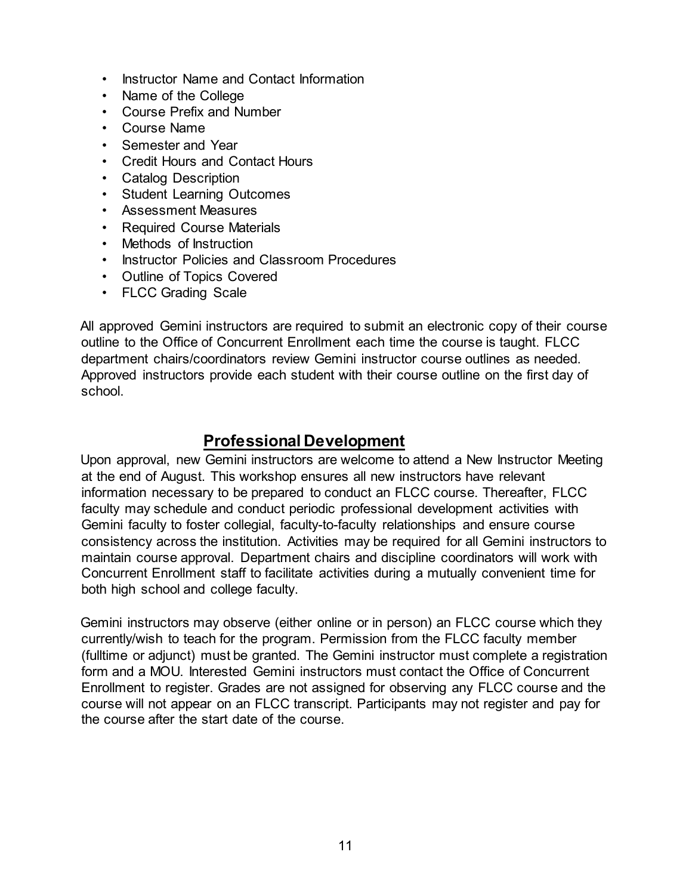- Instructor Name and Contact Information
- Name of the College
- Course Prefix and Number
- Course Name
- Semester and Year
- Credit Hours and Contact Hours
- Catalog Description
- Student Learning Outcomes
- Assessment Measures
- Required Course Materials
- Methods of Instruction
- Instructor Policies and Classroom Procedures
- Outline of Topics Covered
- FLCC Grading Scale

All approved Gemini instructors are required to submit an electronic copy of their course outline to the Office of Concurrent Enrollment each time the course is taught. FLCC department chairs/coordinators review Gemini instructor course outlines as needed. Approved instructors provide each student with their course outline on the first day of school.

#### **Professional Development**

Upon approval, new Gemini instructors are welcome to attend a New Instructor Meeting at the end of August. This workshop ensures all new instructors have relevant information necessary to be prepared to conduct an FLCC course. Thereafter, FLCC faculty may schedule and conduct periodic professional development activities with Gemini faculty to foster collegial, faculty-to-faculty relationships and ensure course consistency across the institution. Activities may be required for all Gemini instructors to maintain course approval. Department chairs and discipline coordinators will work with Concurrent Enrollment staff to facilitate activities during a mutually convenient time for both high school and college faculty.

Gemini instructors may observe (either online or in person) an FLCC course which they currently/wish to teach for the program. Permission from the FLCC faculty member (fulltime or adjunct) must be granted. The Gemini instructor must complete a registration form and a MOU. Interested Gemini instructors must contact the Office of Concurrent Enrollment to register. Grades are not assigned for observing any FLCC course and the course will not appear on an FLCC transcript. Participants may not register and pay for the course after the start date of the course.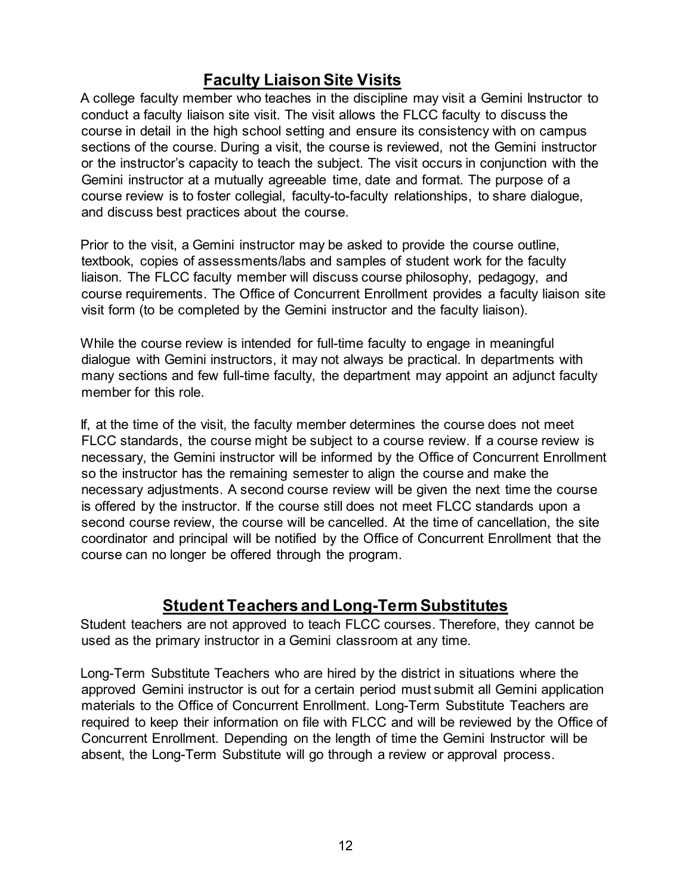## **Faculty Liaison Site Visits**

A college faculty member who teaches in the discipline may visit a Gemini Instructor to conduct a faculty liaison site visit. The visit allows the FLCC faculty to discuss the course in detail in the high school setting and ensure its consistency with on campus sections of the course. During a visit, the course is reviewed, not the Gemini instructor or the instructor's capacity to teach the subject. The visit occurs in conjunction with the Gemini instructor at a mutually agreeable time, date and format. The purpose of a course review is to foster collegial, faculty-to-faculty relationships, to share dialogue, and discuss best practices about the course.

Prior to the visit, a Gemini instructor may be asked to provide the course outline, textbook, copies of assessments/labs and samples of student work for the faculty liaison. The FLCC faculty member will discuss course philosophy, pedagogy, and course requirements. The Office of Concurrent Enrollment provides a faculty liaison site visit form (to be completed by the Gemini instructor and the faculty liaison).

While the course review is intended for full-time faculty to engage in meaningful dialogue with Gemini instructors, it may not always be practical. In departments with many sections and few full-time faculty, the department may appoint an adjunct faculty member for this role.

If, at the time of the visit, the faculty member determines the course does not meet FLCC standards, the course might be subject to a course review. If a course review is necessary, the Gemini instructor will be informed by the Office of Concurrent Enrollment so the instructor has the remaining semester to align the course and make the necessary adjustments. A second course review will be given the next time the course is offered by the instructor. If the course still does not meet FLCC standards upon a second course review, the course will be cancelled. At the time of cancellation, the site coordinator and principal will be notified by the Office of Concurrent Enrollment that the course can no longer be offered through the program.

#### **Student Teachers and Long-Term Substitutes**

Student teachers are not approved to teach FLCC courses. Therefore, they cannot be used as the primary instructor in a Gemini classroom at any time.

Long-Term Substitute Teachers who are hired by the district in situations where the approved Gemini instructor is out for a certain period must submit all Gemini application materials to the Office of Concurrent Enrollment. Long-Term Substitute Teachers are required to keep their information on file with FLCC and will be reviewed by the Office of Concurrent Enrollment. Depending on the length of time the Gemini Instructor will be absent, the Long-Term Substitute will go through a review or approval process.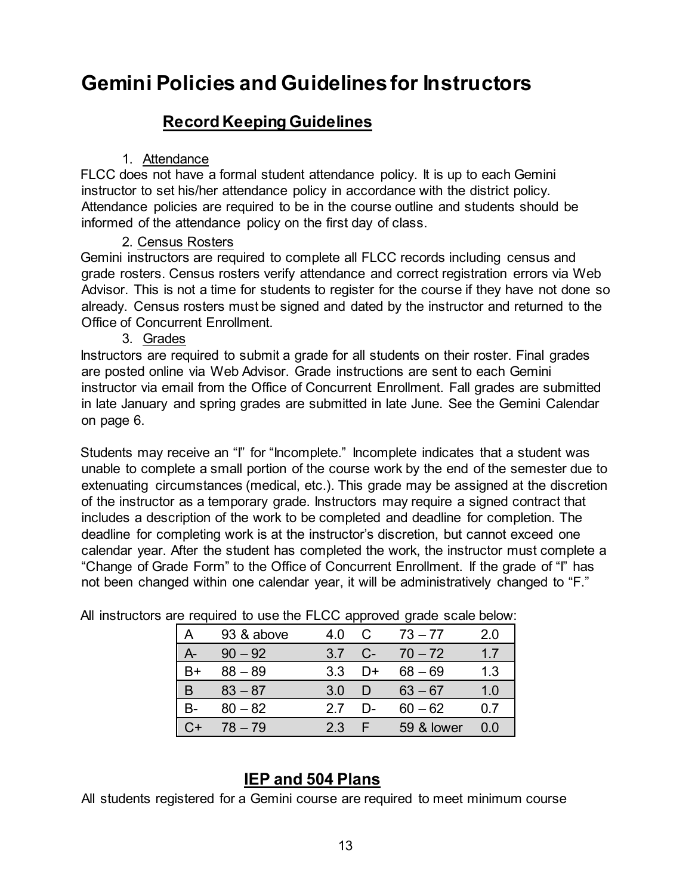# **Gemini Policies and Guidelines for Instructors**

#### **Record Keeping Guidelines**

#### 1. Attendance

FLCC does not have a formal student attendance policy. It is up to each Gemini instructor to set his/her attendance policy in accordance with the district policy. Attendance policies are required to be in the course outline and students should be informed of the attendance policy on the first day of class.

#### 2. Census Rosters

Gemini instructors are required to complete all FLCC records including census and grade rosters. Census rosters verify attendance and correct registration errors via Web Advisor. This is not a time for students to register for the course if they have not done so already. Census rosters must be signed and dated by the instructor and returned to the Office of Concurrent Enrollment.

#### 3. Grades

Instructors are required to submit a grade for all students on their roster. Final grades are posted online via Web Advisor. Grade instructions are sent to each Gemini instructor via email from the Office of Concurrent Enrollment. Fall grades are submitted in late January and spring grades are submitted in late June. See the Gemini Calendar on page 6.

Students may receive an "I" for "Incomplete." Incomplete indicates that a student was unable to complete a small portion of the course work by the end of the semester due to extenuating circumstances (medical, etc.). This grade may be assigned at the discretion of the instructor as a temporary grade. Instructors may require a signed contract that includes a description of the work to be completed and deadline for completion. The deadline for completing work is at the instructor's discretion, but cannot exceed one calendar year. After the student has completed the work, the instructor must complete a "Change of Grade Form" to the Office of Concurrent Enrollment. If the grade of "I" has not been changed within one calendar year, it will be administratively changed to "F."

|    | 93 & above | 4.0 |     | $73 - 77$  | 2.0 |
|----|------------|-----|-----|------------|-----|
| А- | $90 - 92$  | 3.7 | C-  | $70 - 72$  | 17  |
| B+ | $88 - 89$  | 3.3 | l)+ | $68 - 69$  | 1.3 |
| B  | $83 - 87$  | 3.0 |     | $63 - 67$  | 1.0 |
| B- | $80 - 82$  | 27  | D-  | $60 - 62$  | 07  |
| ີ+ | $78 - 79$  | 2.3 |     | 59 & lower | 0.0 |

All instructors are required to use the FLCC approved grade scale below:

### **IEP and 504 Plans**

All students registered for a Gemini course are required to meet minimum course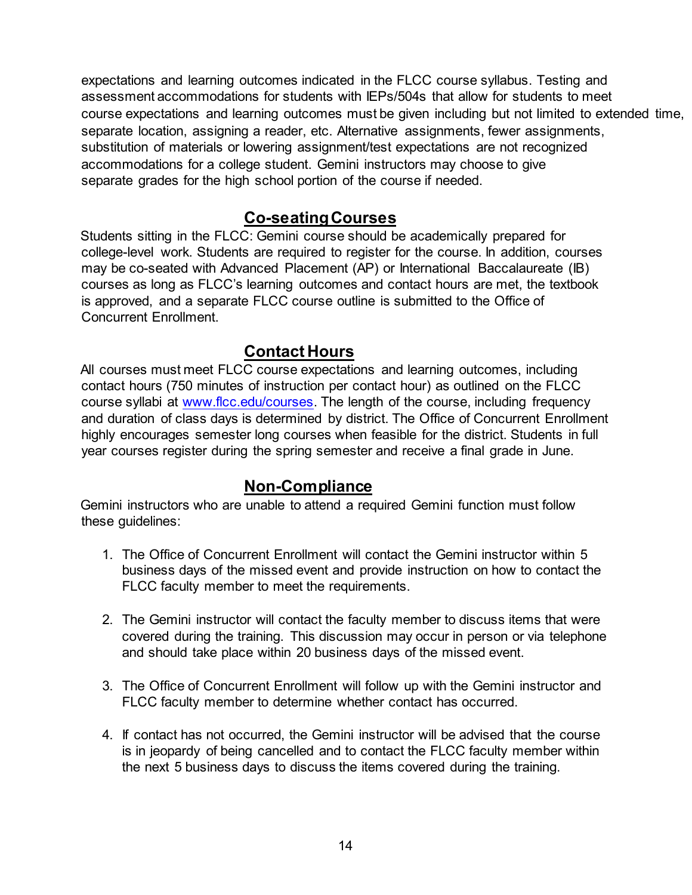expectations and learning outcomes indicated in the FLCC course syllabus. Testing and assessment accommodations for students with IEPs/504s that allow for students to meet course expectations and learning outcomes must be given including but not limited to extended time, separate location, assigning a reader, etc. Alternative assignments, fewer assignments, substitution of materials or lowering assignment/test expectations are not recognized accommodations for a college student. Gemini instructors may choose to give separate grades for the high school portion of the course if needed.

#### **Co-seating Courses**

Students sitting in the FLCC: Gemini course should be academically prepared for college-level work. Students are required to register for the course. In addition, courses may be co-seated with Advanced Placement (AP) or International Baccalaureate (IB) courses as long as FLCC's learning outcomes and contact hours are met, the textbook is approved, and a separate FLCC course outline is submitted to the Office of Concurrent Enrollment.

#### **Contact Hours**

All courses must meet FLCC course expectations and learning outcomes, including contact hours (750 minutes of instruction per contact hour) as outlined on the FLCC course syllabi at [www.flcc.edu/courses.](http://www.flcc.edu/courses) The length of the course, including frequency and duration of class days is determined by district. The Office of Concurrent Enrollment highly encourages semester long courses when feasible for the district. Students in full year courses register during the spring semester and receive a final grade in June.

#### **Non-Compliance**

Gemini instructors who are unable to attend a required Gemini function must follow these guidelines:

- 1. The Office of Concurrent Enrollment will contact the Gemini instructor within 5 business days of the missed event and provide instruction on how to contact the FLCC faculty member to meet the requirements.
- 2. The Gemini instructor will contact the faculty member to discuss items that were covered during the training. This discussion may occur in person or via telephone and should take place within 20 business days of the missed event.
- 3. The Office of Concurrent Enrollment will follow up with the Gemini instructor and FLCC faculty member to determine whether contact has occurred.
- 4. If contact has not occurred, the Gemini instructor will be advised that the course is in jeopardy of being cancelled and to contact the FLCC faculty member within the next 5 business days to discuss the items covered during the training.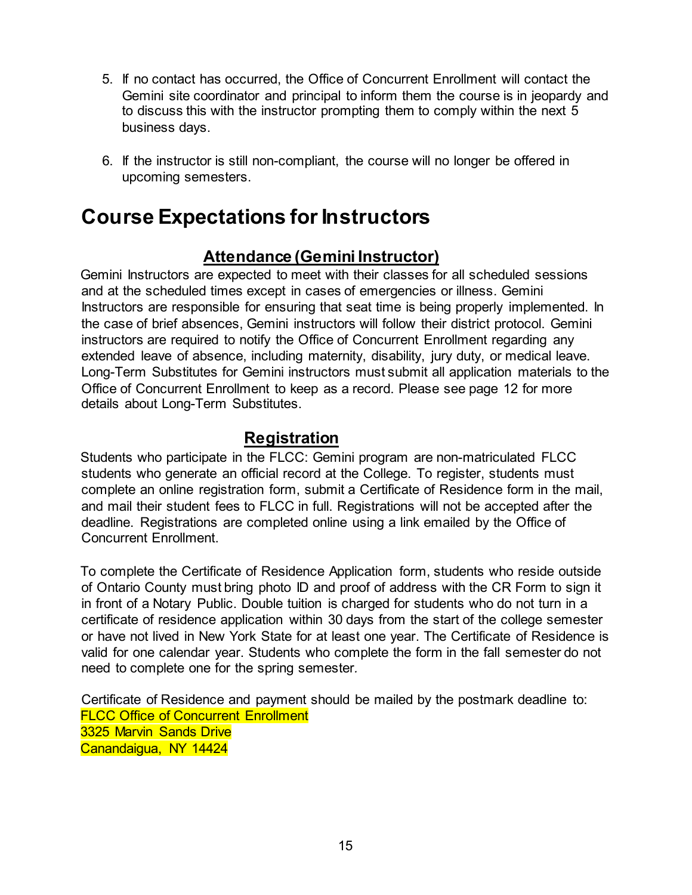- 5. If no contact has occurred, the Office of Concurrent Enrollment will contact the Gemini site coordinator and principal to inform them the course is in jeopardy and to discuss this with the instructor prompting them to comply within the next 5 business days.
- 6. If the instructor is still non-compliant, the course will no longer be offered in upcoming semesters.

# **Course Expectations for Instructors**

#### **Attendance (Gemini Instructor)**

Gemini Instructors are expected to meet with their classes for all scheduled sessions and at the scheduled times except in cases of emergencies or illness. Gemini Instructors are responsible for ensuring that seat time is being properly implemented. In the case of brief absences, Gemini instructors will follow their district protocol. Gemini instructors are required to notify the Office of Concurrent Enrollment regarding any extended leave of absence, including maternity, disability, jury duty, or medical leave. Long-Term Substitutes for Gemini instructors must submit all application materials to the Office of Concurrent Enrollment to keep as a record. Please see page 12 for more details about Long-Term Substitutes.

#### **Registration**

Students who participate in the FLCC: Gemini program are non-matriculated FLCC students who generate an official record at the College. To register, students must complete an online registration form, submit a Certificate of Residence form in the mail, and mail their student fees to FLCC in full. Registrations will not be accepted after the deadline. Registrations are completed online using a link emailed by the Office of Concurrent Enrollment.

To complete the Certificate of Residence Application form, students who reside outside of Ontario County must bring photo ID and proof of address with the CR Form to sign it in front of a Notary Public. Double tuition is charged for students who do not turn in a certificate of residence application within 30 days from the start of the college semester or have not lived in New York State for at least one year. The Certificate of Residence is valid for one calendar year. Students who complete the form in the fall semester do not need to complete one for the spring semester*.*

Certificate of Residence and payment should be mailed by the postmark deadline to: FLCC Office of Concurrent Enrollment 3325 Marvin Sands Drive Canandaigua, NY 14424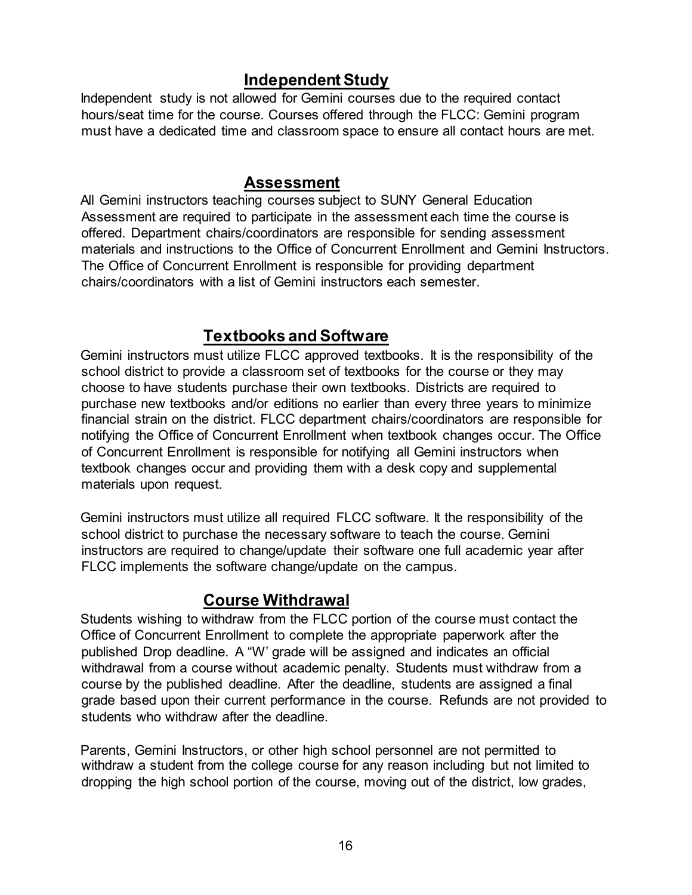#### **Independent Study**

Independent study is not allowed for Gemini courses due to the required contact hours/seat time for the course. Courses offered through the FLCC: Gemini program must have a dedicated time and classroom space to ensure all contact hours are met.

#### **Assessment**

All Gemini instructors teaching courses subject to SUNY General Education Assessment are required to participate in the assessment each time the course is offered. Department chairs/coordinators are responsible for sending assessment materials and instructions to the Office of Concurrent Enrollment and Gemini Instructors. The Office of Concurrent Enrollment is responsible for providing department chairs/coordinators with a list of Gemini instructors each semester.

#### **Textbooks and Software**

Gemini instructors must utilize FLCC approved textbooks. It is the responsibility of the school district to provide a classroom set of textbooks for the course or they may choose to have students purchase their own textbooks. Districts are required to purchase new textbooks and/or editions no earlier than every three years to minimize financial strain on the district. FLCC department chairs/coordinators are responsible for notifying the Office of Concurrent Enrollment when textbook changes occur. The Office of Concurrent Enrollment is responsible for notifying all Gemini instructors when textbook changes occur and providing them with a desk copy and supplemental materials upon request.

Gemini instructors must utilize all required FLCC software. It the responsibility of the school district to purchase the necessary software to teach the course. Gemini instructors are required to change/update their software one full academic year after FLCC implements the software change/update on the campus.

#### **Course Withdrawal**

Students wishing to withdraw from the FLCC portion of the course must contact the Office of Concurrent Enrollment to complete the appropriate paperwork after the published Drop deadline. A "W' grade will be assigned and indicates an official withdrawal from a course without academic penalty. Students must withdraw from a course by the published deadline. After the deadline, students are assigned a final grade based upon their current performance in the course. Refunds are not provided to students who withdraw after the deadline.

Parents, Gemini Instructors, or other high school personnel are not permitted to withdraw a student from the college course for any reason including but not limited to dropping the high school portion of the course, moving out of the district, low grades,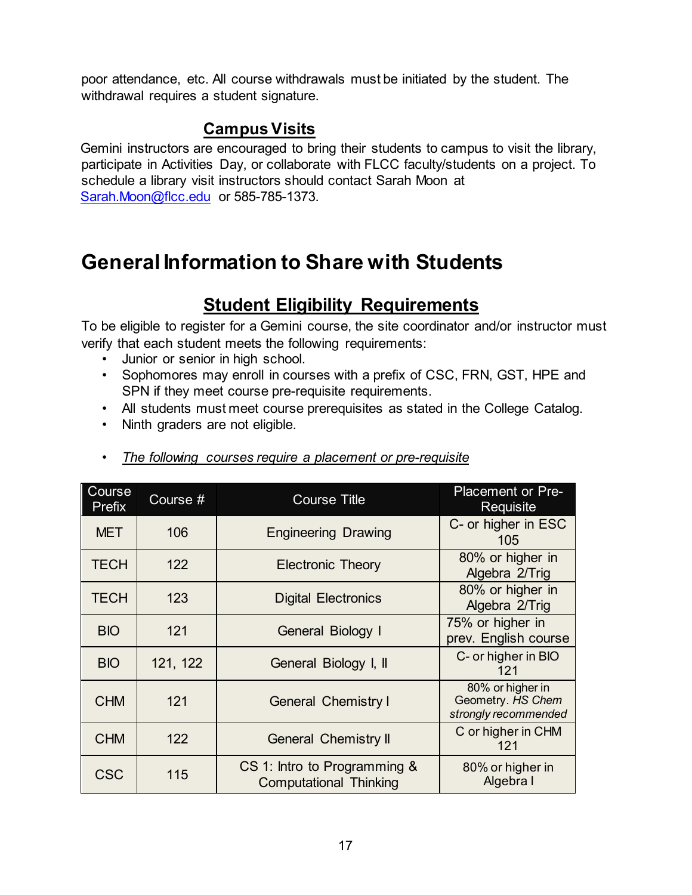poor attendance, etc. All course withdrawals must be initiated by the student. The withdrawal requires a student signature.

## **Campus Visits**

Gemini instructors are encouraged to bring their students to campus to visit the library, participate in Activities Day, or collaborate with FLCC faculty/students on a project. To schedule a library visit instructors should contact Sarah Moon at Sarah.Moon@flcc.edu or 585-785-1373.

# **General Information to Share with Students**

# **Student Eligibility Requirements**

To be eligible to register for a Gemini course, the site coordinator and/or instructor must verify that each student meets the following requirements:

- Junior or senior in high school.
- Sophomores may enroll in courses with a prefix of CSC, FRN, GST, HPE and SPN if they meet course pre-requisite requirements.
- All students must meet course prerequisites as stated in the College Catalog.
- Ninth graders are not eligible.

| Course<br>Prefix | Course # | <b>Course Title</b>                                           | <b>Placement or Pre-</b><br>Requisite                         |
|------------------|----------|---------------------------------------------------------------|---------------------------------------------------------------|
| <b>MET</b>       | 106      | <b>Engineering Drawing</b>                                    | C- or higher in ESC<br>105                                    |
| <b>TECH</b>      | 122      | <b>Electronic Theory</b>                                      | 80% or higher in<br>Algebra 2/Trig                            |
| <b>TECH</b>      | 123      | <b>Digital Electronics</b>                                    | 80% or higher in<br>Algebra 2/Trig                            |
| <b>BIO</b>       | 121      | General Biology I                                             | 75% or higher in<br>prev. English course                      |
| <b>BIO</b>       | 121, 122 | General Biology I, II                                         | C- or higher in BIO<br>121                                    |
| <b>CHM</b>       | 121      | <b>General Chemistry I</b>                                    | 80% or higher in<br>Geometry. HS Chem<br>strongly recommended |
| <b>CHM</b>       | 122      | <b>General Chemistry II</b>                                   | C or higher in CHM<br>121                                     |
| <b>CSC</b>       | 115      | CS 1: Intro to Programming &<br><b>Computational Thinking</b> | 80% or higher in<br>Algebra I                                 |

• *The following courses require a placement or pre-requisite*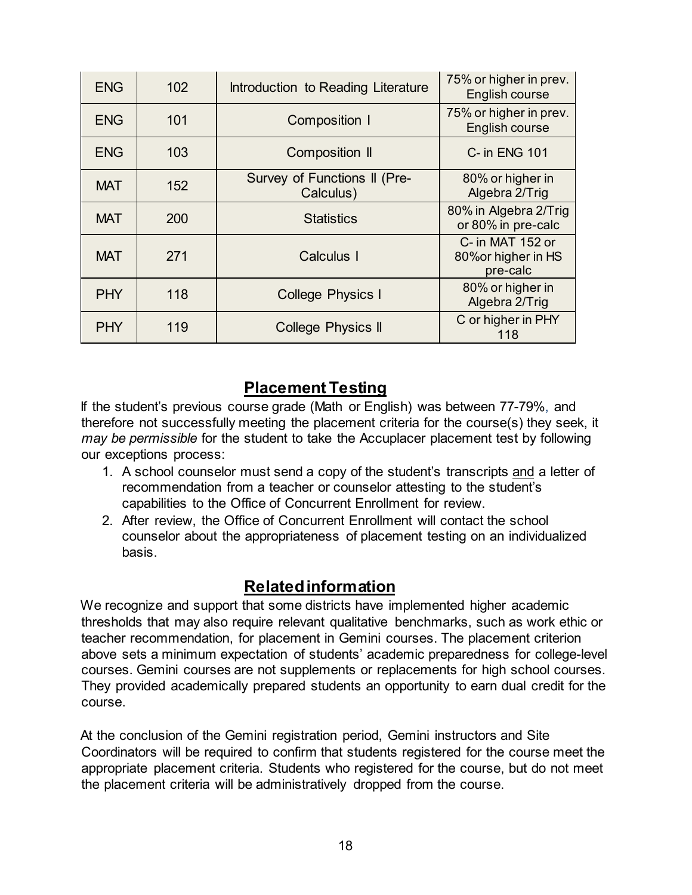| <b>ENG</b> | 102 | Introduction to Reading Literature        | 75% or higher in prev.<br>English course            |
|------------|-----|-------------------------------------------|-----------------------------------------------------|
| <b>ENG</b> | 101 | <b>Composition I</b>                      | 75% or higher in prev.<br>English course            |
| <b>ENG</b> | 103 | <b>Composition II</b>                     | C- in ENG 101                                       |
| <b>MAT</b> | 152 | Survey of Functions II (Pre-<br>Calculus) | 80% or higher in<br>Algebra 2/Trig                  |
| <b>MAT</b> | 200 | <b>Statistics</b>                         | 80% in Algebra 2/Trig<br>or 80% in pre-calc         |
| <b>MAT</b> | 271 | Calculus I                                | C- in MAT 152 or<br>80% or higher in HS<br>pre-calc |
| <b>PHY</b> | 118 | <b>College Physics I</b>                  | 80% or higher in<br>Algebra 2/Trig                  |
| <b>PHY</b> | 119 | <b>College Physics II</b>                 | C or higher in PHY<br>118                           |

#### **Placement Testing**

If the student's previous course grade (Math or English) was between 77-79%, and therefore not successfully meeting the placement criteria for the course(s) they seek, it *may be permissible* for the student to take the Accuplacer placement test by following our exceptions process:

- 1. A school counselor must send a copy of the student's transcripts and a letter of recommendation from a teacher or counselor attesting to the student's capabilities to the Office of Concurrent Enrollment for review.
- 2. After review, the Office of Concurrent Enrollment will contact the school counselor about the appropriateness of placement testing on an individualized basis.

#### **Related information**

We recognize and support that some districts have implemented higher academic thresholds that may also require relevant qualitative benchmarks, such as work ethic or teacher recommendation, for placement in Gemini courses. The placement criterion above sets a minimum expectation of students' academic preparedness for college-level courses. Gemini courses are not supplements or replacements for high school courses. They provided academically prepared students an opportunity to earn dual credit for the course.

At the conclusion of the Gemini registration period, Gemini instructors and Site Coordinators will be required to confirm that students registered for the course meet the appropriate placement criteria. Students who registered for the course, but do not meet the placement criteria will be administratively dropped from the course.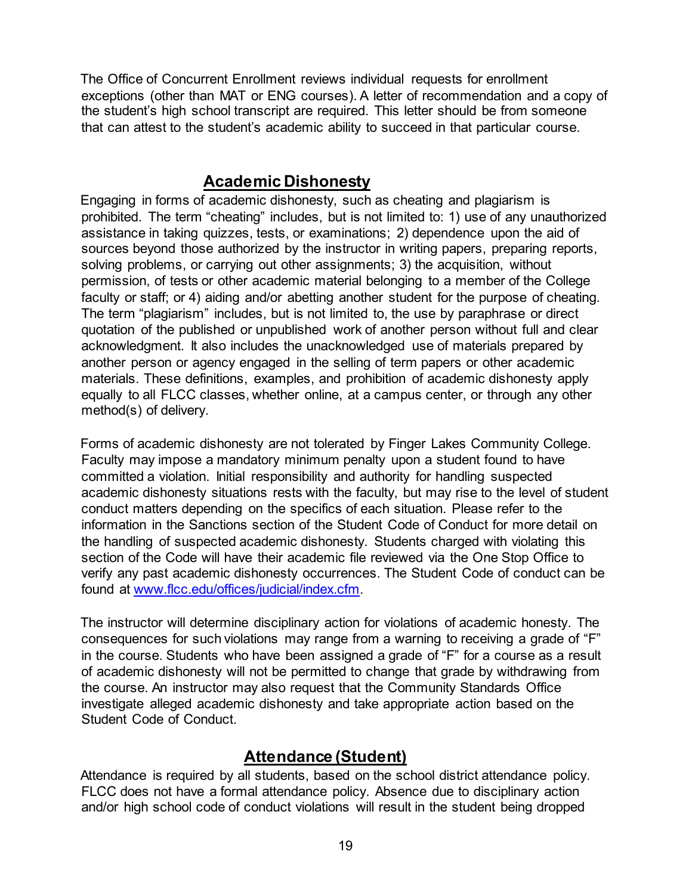The Office of Concurrent Enrollment reviews individual requests for enrollment exceptions (other than MAT or ENG courses). A letter of recommendation and a copy of the student's high school transcript are required. This letter should be from someone that can attest to the student's academic ability to succeed in that particular course.

#### **Academic Dishonesty**

Engaging in forms of academic dishonesty, such as cheating and plagiarism is prohibited. The term "cheating" includes, but is not limited to: 1) use of any unauthorized assistance in taking quizzes, tests, or examinations; 2) dependence upon the aid of sources beyond those authorized by the instructor in writing papers, preparing reports, solving problems, or carrying out other assignments; 3) the acquisition, without permission, of tests or other academic material belonging to a member of the College faculty or staff; or 4) aiding and/or abetting another student for the purpose of cheating. The term "plagiarism" includes, but is not limited to, the use by paraphrase or direct quotation of the published or unpublished work of another person without full and clear acknowledgment. It also includes the unacknowledged use of materials prepared by another person or agency engaged in the selling of term papers or other academic materials. These definitions, examples, and prohibition of academic dishonesty apply equally to all FLCC classes, whether online, at a campus center, or through any other method(s) of delivery.

Forms of academic dishonesty are not tolerated by Finger Lakes Community College. Faculty may impose a mandatory minimum penalty upon a student found to have committed a violation. Initial responsibility and authority for handling suspected academic dishonesty situations rests with the faculty, but may rise to the level of student conduct matters depending on the specifics of each situation. Please refer to the information in the Sanctions section of the Student Code of Conduct for more detail on the handling of suspected academic dishonesty. Students charged with violating this section of the Code will have their academic file reviewed via the One Stop Office to verify any past academic dishonesty occurrences. The Student Code of conduct can be found at [www.flcc.edu/offices/judicial/index.cfm.](http://www.flcc.edu/offices/judicial/index.cfm) 

The instructor will determine disciplinary action for violations of academic honesty. The consequences for such violations may range from a warning to receiving a grade of "F" in the course. Students who have been assigned a grade of "F" for a course as a result of academic dishonesty will not be permitted to change that grade by withdrawing from the course. An instructor may also request that the Community Standards Office investigate alleged academic dishonesty and take appropriate action based on the Student Code of Conduct.

#### **Attendance (Student)**

Attendance is required by all students, based on the school district attendance policy. FLCC does not have a formal attendance policy. Absence due to disciplinary action and/or high school code of conduct violations will result in the student being dropped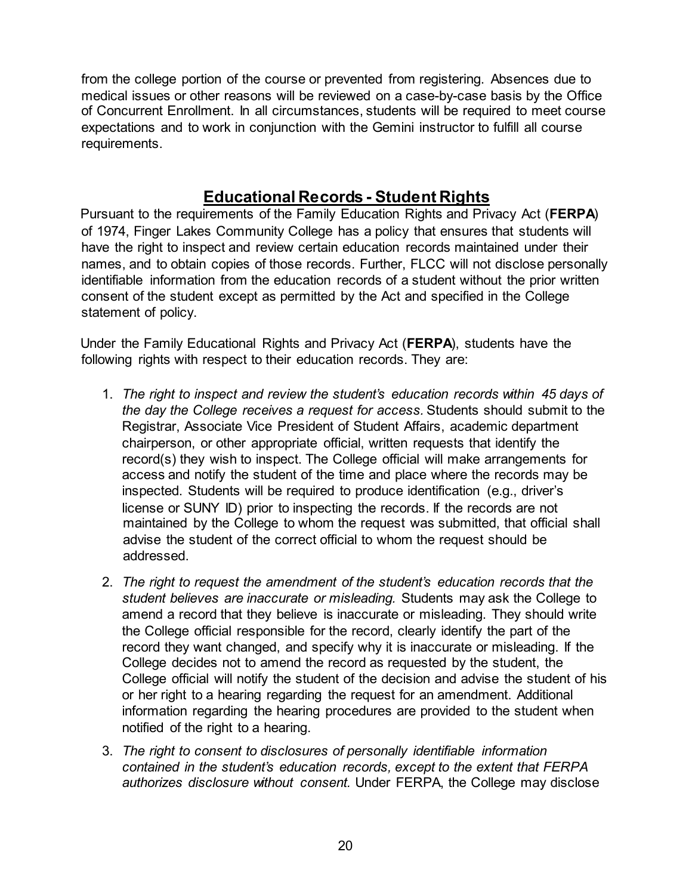from the college portion of the course or prevented from registering. Absences due to medical issues or other reasons will be reviewed on a case-by-case basis by the Office of Concurrent Enrollment. In all circumstances, students will be required to meet course expectations and to work in conjunction with the Gemini instructor to fulfill all course requirements.

#### **Educational Records - Student Rights**

Pursuant to the requirements of the Family Education Rights and Privacy Act (**FERPA**) of 1974, Finger Lakes Community College has a policy that ensures that students will have the right to inspect and review certain education records maintained under their names, and to obtain copies of those records. Further, FLCC will not disclose personally identifiable information from the education records of a student without the prior written consent of the student except as permitted by the Act and specified in the College statement of policy.

Under the Family Educational Rights and Privacy Act (**FERPA**), students have the following rights with respect to their education records. They are:

- 1. *The right to inspect and review the student's education records within 45 days of the day the College receives a request for access.* Students should submit to the Registrar, Associate Vice President of Student Affairs, academic department chairperson, or other appropriate official, written requests that identify the record(s) they wish to inspect. The College official will make arrangements for access and notify the student of the time and place where the records may be inspected. Students will be required to produce identification (e.g., driver's license or SUNY ID) prior to inspecting the records. If the records are not maintained by the College to whom the request was submitted, that official shall advise the student of the correct official to whom the request should be addressed.
- 2. *The right to request the amendment of the student's education records that the student believes are inaccurate or misleading.* Students may ask the College to amend a record that they believe is inaccurate or misleading. They should write the College official responsible for the record, clearly identify the part of the record they want changed, and specify why it is inaccurate or misleading. If the College decides not to amend the record as requested by the student, the College official will notify the student of the decision and advise the student of his or her right to a hearing regarding the request for an amendment. Additional information regarding the hearing procedures are provided to the student when notified of the right to a hearing.
- 3. *The right to consent to disclosures of personally identifiable information contained in the student's education records, except to the extent that FERPA authorizes disclosure without consent.* Under FERPA, the College may disclose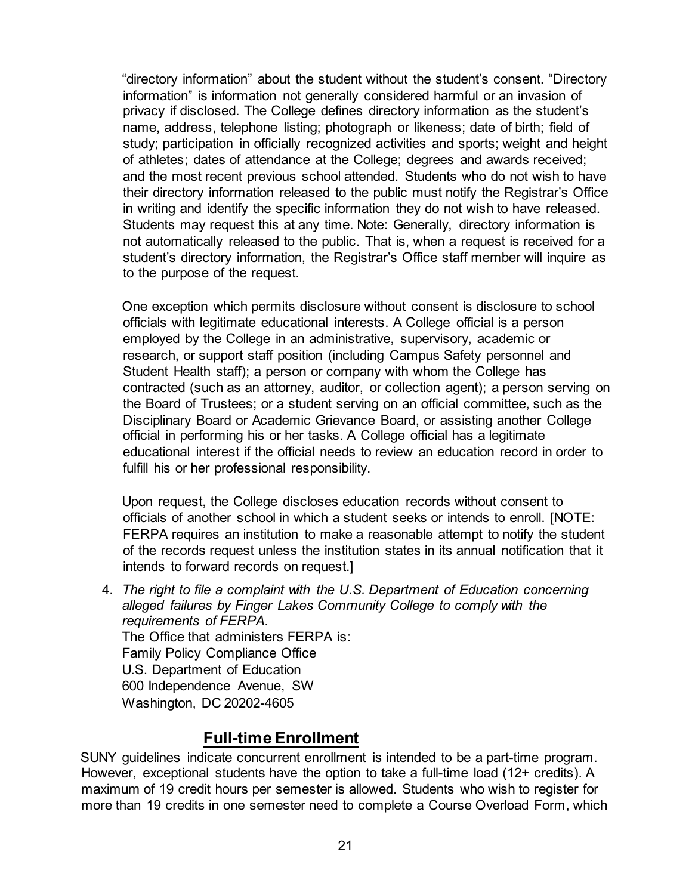"directory information" about the student without the student's consent. "Directory information" is information not generally considered harmful or an invasion of privacy if disclosed. The College defines directory information as the student's name, address, telephone listing; photograph or likeness; date of birth; field of study; participation in officially recognized activities and sports; weight and height of athletes; dates of attendance at the College; degrees and awards received; and the most recent previous school attended. Students who do not wish to have their directory information released to the public must notify the Registrar's Office in writing and identify the specific information they do not wish to have released. Students may request this at any time. Note: Generally, directory information is not automatically released to the public. That is, when a request is received for a student's directory information, the Registrar's Office staff member will inquire as to the purpose of the request.

One exception which permits disclosure without consent is disclosure to school officials with legitimate educational interests. A College official is a person employed by the College in an administrative, supervisory, academic or research, or support staff position (including Campus Safety personnel and Student Health staff); a person or company with whom the College has contracted (such as an attorney, auditor, or collection agent); a person serving on the Board of Trustees; or a student serving on an official committee, such as the Disciplinary Board or Academic Grievance Board, or assisting another College official in performing his or her tasks. A College official has a legitimate educational interest if the official needs to review an education record in order to fulfill his or her professional responsibility.

Upon request, the College discloses education records without consent to officials of another school in which a student seeks or intends to enroll. [NOTE: FERPA requires an institution to make a reasonable attempt to notify the student of the records request unless the institution states in its annual notification that it intends to forward records on request.]

4. *The right to file a complaint with the U.S. Department of Education concerning alleged failures by Finger Lakes Community College to comply with the requirements of FERPA.* The Office that administers FERPA is: Family Policy Compliance Office U.S. Department of Education 600 Independence Avenue, SW Washington, DC 20202-4605

#### **Full-time Enrollment**

SUNY guidelines indicate concurrent enrollment is intended to be a part-time program. However, exceptional students have the option to take a full-time load (12+ credits). A maximum of 19 credit hours per semester is allowed. Students who wish to register for more than 19 credits in one semester need to complete a Course Overload Form, which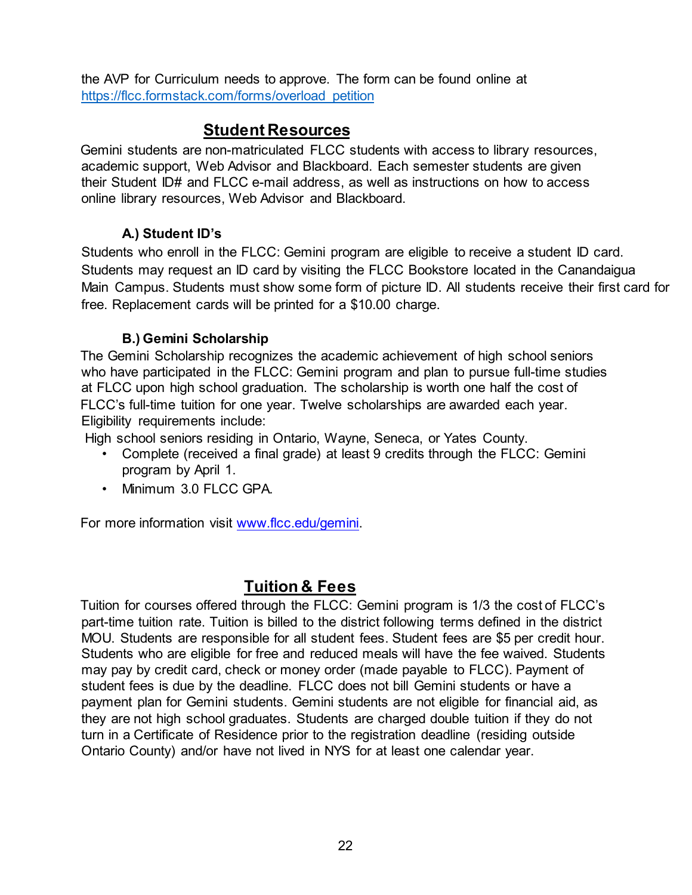the AVP for Curriculum needs to approve. The form can be found online at [https://flcc.formstack.com/forms/overload\\_petition](https://flcc.formstack.com/forms/overload_petition)

#### **Student Resources**

Gemini students are non-matriculated FLCC students with access to library resources, academic support, Web Advisor and Blackboard. Each semester students are given their Student ID# and FLCC e-mail address, as well as instructions on how to access online library resources, Web Advisor and Blackboard.

#### **A.) Student ID's**

Students who enroll in the FLCC: Gemini program are eligible to receive a student ID card. Students may request an ID card by visiting the FLCC Bookstore located in the Canandaigua Main Campus. Students must show some form of picture ID. All students receive their first card for free. Replacement cards will be printed for a \$10.00 charge.

#### **B.) Gemini Scholarship**

The Gemini Scholarship recognizes the academic achievement of high school seniors who have participated in the FLCC: Gemini program and plan to pursue full-time studies at FLCC upon high school graduation. The scholarship is worth one half the cost of FLCC's full-time tuition for one year. Twelve scholarships are awarded each year. Eligibility requirements include:

High school seniors residing in Ontario, Wayne, Seneca, or Yates County.

- Complete (received a final grade) at least 9 credits through the FLCC: Gemini program by April 1.
- Minimum 3.0 FLCC GPA.

For more information visit [www.flcc.edu/gemini.](http://www.flcc.edu/gemini) 

#### **Tuition & Fees**

Tuition for courses offered through the FLCC: Gemini program is 1/3 the cost of FLCC's part-time tuition rate. Tuition is billed to the district following terms defined in the district MOU. Students are responsible for all student fees. Student fees are \$5 per credit hour. Students who are eligible for free and reduced meals will have the fee waived. Students may pay by credit card, check or money order (made payable to FLCC). Payment of student fees is due by the deadline. FLCC does not bill Gemini students or have a payment plan for Gemini students. Gemini students are not eligible for financial aid, as they are not high school graduates. Students are charged double tuition if they do not turn in a Certificate of Residence prior to the registration deadline (residing outside Ontario County) and/or have not lived in NYS for at least one calendar year.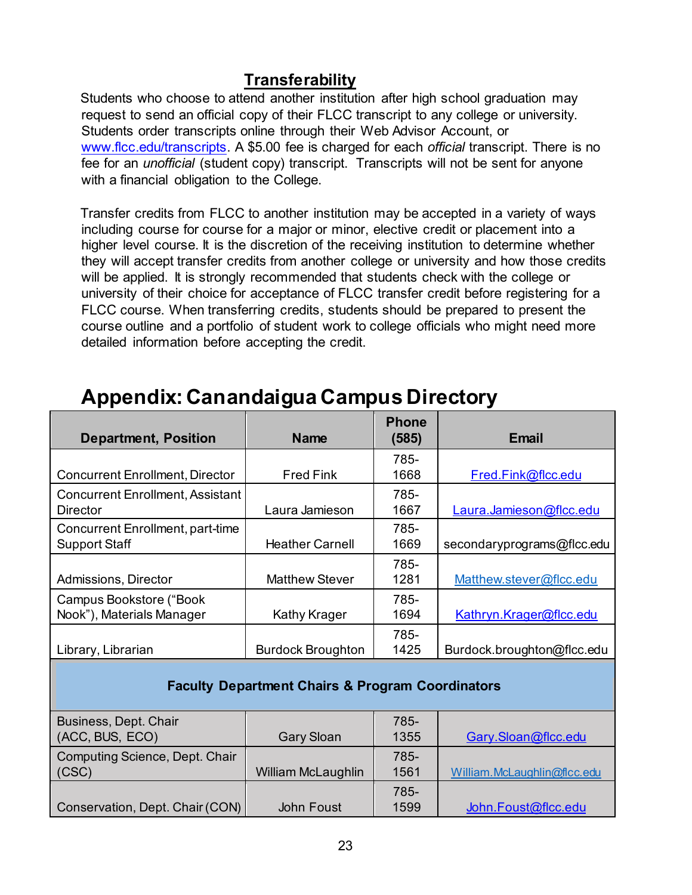#### **Transferability**

Students who choose to attend another institution after high school graduation may request to send an official copy of their FLCC transcript to any college or university. Students order transcripts online through their Web Advisor Account, or [www.flcc.edu/transcripts.](http://www.flcc.edu/transcripts) A \$5.00 fee is charged for each *official* transcript. There is no fee for an *unofficial* (student copy) transcript. Transcripts will not be sent for anyone with a financial obligation to the College.

Transfer credits from FLCC to another institution may be accepted in a variety of ways including course for course for a major or minor, elective credit or placement into a higher level course. It is the discretion of the receiving institution to determine whether they will accept transfer credits from another college or university and how those credits will be applied. It is strongly recommended that students check with the college or university of their choice for acceptance of FLCC transfer credit before registering for a FLCC course. When transferring credits, students should be prepared to present the course outline and a portfolio of student work to college officials who might need more detailed information before accepting the credit.

| <b>Department, Position</b>             | <b>Name</b>              | <b>Phone</b><br>(585) | Email                      |
|-----------------------------------------|--------------------------|-----------------------|----------------------------|
|                                         |                          | 785-                  |                            |
| <b>Concurrent Enrollment, Director</b>  | <b>Fred Fink</b>         | 1668                  | Fred.Fink@flcc.edu         |
| <b>Concurrent Enrollment, Assistant</b> |                          | 785-                  |                            |
| Director                                | Laura Jamieson           | 1667                  | Laura.Jamieson@flcc.edu    |
| Concurrent Enrollment, part-time        |                          | 785-                  |                            |
| <b>Support Staff</b>                    | <b>Heather Carnell</b>   | 1669                  | secondaryprograms@flcc.edu |
|                                         |                          | 785-                  |                            |
| Admissions, Director                    | <b>Matthew Stever</b>    | 1281                  | Matthew.stever@flcc.edu    |
| Campus Bookstore ("Book                 |                          | 785-                  |                            |
| Nook"), Materials Manager               | <b>Kathy Krager</b>      | 1694                  | Kathryn.Krager@flcc.edu    |
|                                         |                          | 785-                  |                            |
| Library, Librarian                      | <b>Burdock Broughton</b> | 1425                  | Burdock.broughton@flcc.edu |
|                                         |                          |                       |                            |

# **Appendix: Canandaigua Campus Directory**

#### **Faculty Department Chairs & Program Coordinators**

| Business, Dept. Chair<br>(ACC, BUS, ECO) | <b>Gary Sloan</b>  | 785-<br>1355 | Gary.Sloan@flcc.edu         |
|------------------------------------------|--------------------|--------------|-----------------------------|
| Computing Science, Dept. Chair           |                    | 785-         |                             |
| (CSC)                                    | William McLaughlin | 1561         | William.McLaughlin@flcc.edu |
|                                          |                    | 785-         |                             |
| Conservation, Dept. Chair (CON)          | <b>John Foust</b>  | 1599         | John.Foust@flcc.edu         |